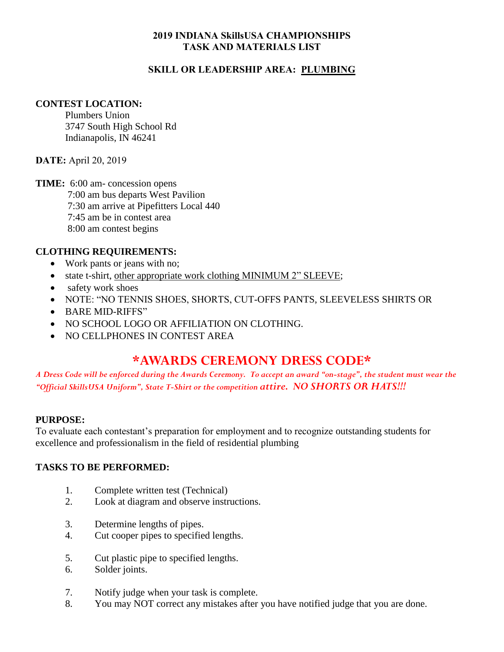### **2019 INDIANA SkillsUSA CHAMPIONSHIPS TASK AND MATERIALS LIST**

## **SKILL OR LEADERSHIP AREA: PLUMBING**

#### **CONTEST LOCATION:**

Plumbers Union 3747 South High School Rd Indianapolis, IN 46241

**DATE:** April 20, 2019

**TIME:** 6:00 am- concession opens 7:00 am bus departs West Pavilion 7:30 am arrive at Pipefitters Local 440 7:45 am be in contest area 8:00 am contest begins

## **CLOTHING REQUIREMENTS:**

- Work pants or jeans with no;
- state t-shirt, other appropriate work clothing MINIMUM 2" SLEEVE;
- safety work shoes
- NOTE: "NO TENNIS SHOES, SHORTS, CUT-OFFS PANTS, SLEEVELESS SHIRTS OR
- BARE MID-RIFFS"
- NO SCHOOL LOGO OR AFFILIATION ON CLOTHING.
- NO CELLPHONES IN CONTEST AREA

# **\*AWARDS CEREMONY DRESS CODE\***

*A Dress Code will be enforced during the Awards Ceremony. To accept an award "on-stage", the student must wear the "Official SkillsUSA Uniform", State T-Shirt or the competition attire. NO SHORTS OR HATS!!!*

## **PURPOSE:**

To evaluate each contestant's preparation for employment and to recognize outstanding students for excellence and professionalism in the field of residential plumbing

## **TASKS TO BE PERFORMED:**

- 1. Complete written test (Technical)
- 2. Look at diagram and observe instructions.
- 3. Determine lengths of pipes.
- 4. Cut cooper pipes to specified lengths.
- 5. Cut plastic pipe to specified lengths.
- 6. Solder joints.
- 7. Notify judge when your task is complete.
- 8. You may NOT correct any mistakes after you have notified judge that you are done.